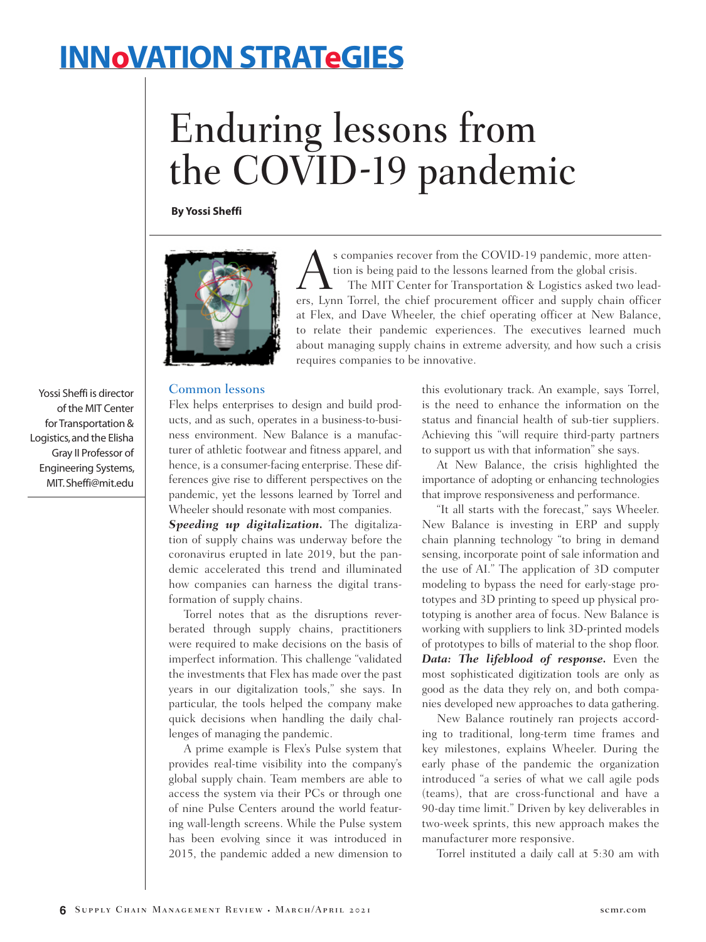## **INNoVATION STRATeGIES**

# Enduring lessons from the COVID-19 pandemic

**By Yossi Sheffi**



s companies recover from the COVID-19 pandemic, more attention is being paid to the lessons learned from the global crisis. The MIT Center for Transportation & Logistics asked two leaders, Lynn Torrel, the chief procurement officer and supply chain officer at Flex, and Dave Wheeler, the chief operating officer at New Balance, to relate their pandemic experiences. The executives learned much about managing supply chains in extreme adversity, and how such a crisis requires companies to be innovative.

#### Common lessons

Flex helps enterprises to design and build products, and as such, operates in a business-to-business environment. New Balance is a manufacturer of athletic footwear and fitness apparel, and hence, is a consumer-facing enterprise. These differences give rise to different perspectives on the pandemic, yet the lessons learned by Torrel and Wheeler should resonate with most companies.

*Speeding up digitalization.* The digitalization of supply chains was underway before the coronavirus erupted in late 2019, but the pandemic accelerated this trend and illuminated how companies can harness the digital transformation of supply chains.

Torrel notes that as the disruptions reverberated through supply chains, practitioners were required to make decisions on the basis of imperfect information. This challenge "validated the investments that Flex has made over the past years in our digitalization tools," she says. In particular, the tools helped the company make quick decisions when handling the daily challenges of managing the pandemic.

A prime example is Flex's Pulse system that provides real-time visibility into the company's global supply chain. Team members are able to access the system via their PCs or through one of nine Pulse Centers around the world featuring wall-length screens. While the Pulse system has been evolving since it was introduced in 2015, the pandemic added a new dimension to

this evolutionary track. An example, says Torrel, is the need to enhance the information on the status and financial health of sub-tier suppliers. Achieving this "will require third-party partners to support us with that information" she says.

At New Balance, the crisis highlighted the importance of adopting or enhancing technologies that improve responsiveness and performance.

"It all starts with the forecast," says Wheeler. New Balance is investing in ERP and supply chain planning technology "to bring in demand sensing, incorporate point of sale information and the use of AI." The application of 3D computer modeling to bypass the need for early-stage prototypes and 3D printing to speed up physical prototyping is another area of focus. New Balance is working with suppliers to link 3D-printed models of prototypes to bills of material to the shop floor. *Data: The lifeblood of response.* Even the most sophisticated digitization tools are only as good as the data they rely on, and both companies developed new approaches to data gathering.

New Balance routinely ran projects according to traditional, long-term time frames and key milestones, explains Wheeler. During the early phase of the pandemic the organization introduced "a series of what we call agile pods (teams), that are cross-functional and have a 90-day time limit." Driven by key deliverables in two-week sprints, this new approach makes the manufacturer more responsive.

Torrel instituted a daily call at 5:30 am with

Yossi Sheffi is director of the MIT Center for Transportation & Logistics, and the Elisha Gray II Professor of Engineering Systems, MIT. Sheffi@mit.edu